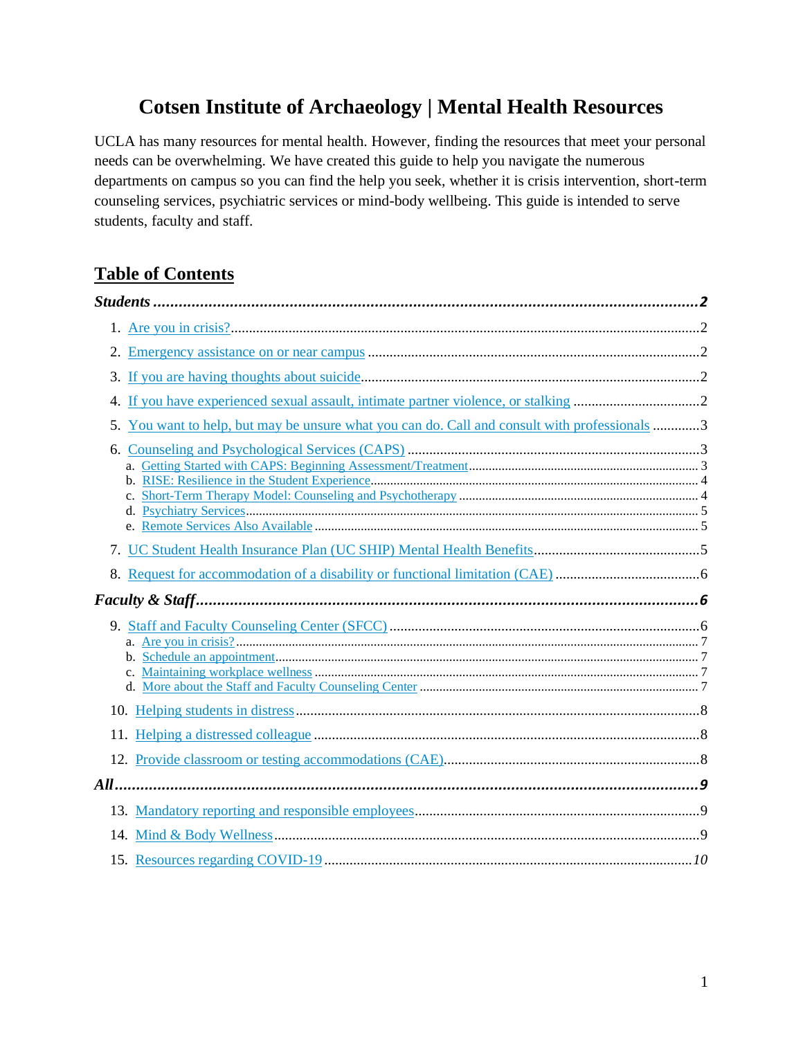# **Cotsen Institute of Archaeology | Mental Health Resources**

UCLA has many resources for mental health. However, finding the resources that meet your personal needs can be overwhelming. We have created this guide to help you navigate the numerous departments on campus so you can find the help you seek, whether it is crisis intervention, short-term counseling services, psychiatric services or mind-body wellbeing. This guide is intended to serve students, faculty and staff.

### **Table of Contents**

| 4. |                                                                                               |  |
|----|-----------------------------------------------------------------------------------------------|--|
|    | 5. You want to help, but may be unsure what you can do. Call and consult with professionals 3 |  |
|    |                                                                                               |  |
|    |                                                                                               |  |
|    |                                                                                               |  |
|    |                                                                                               |  |
|    |                                                                                               |  |
|    |                                                                                               |  |
|    |                                                                                               |  |
|    |                                                                                               |  |
|    |                                                                                               |  |
|    |                                                                                               |  |
|    |                                                                                               |  |
|    |                                                                                               |  |
|    |                                                                                               |  |
|    |                                                                                               |  |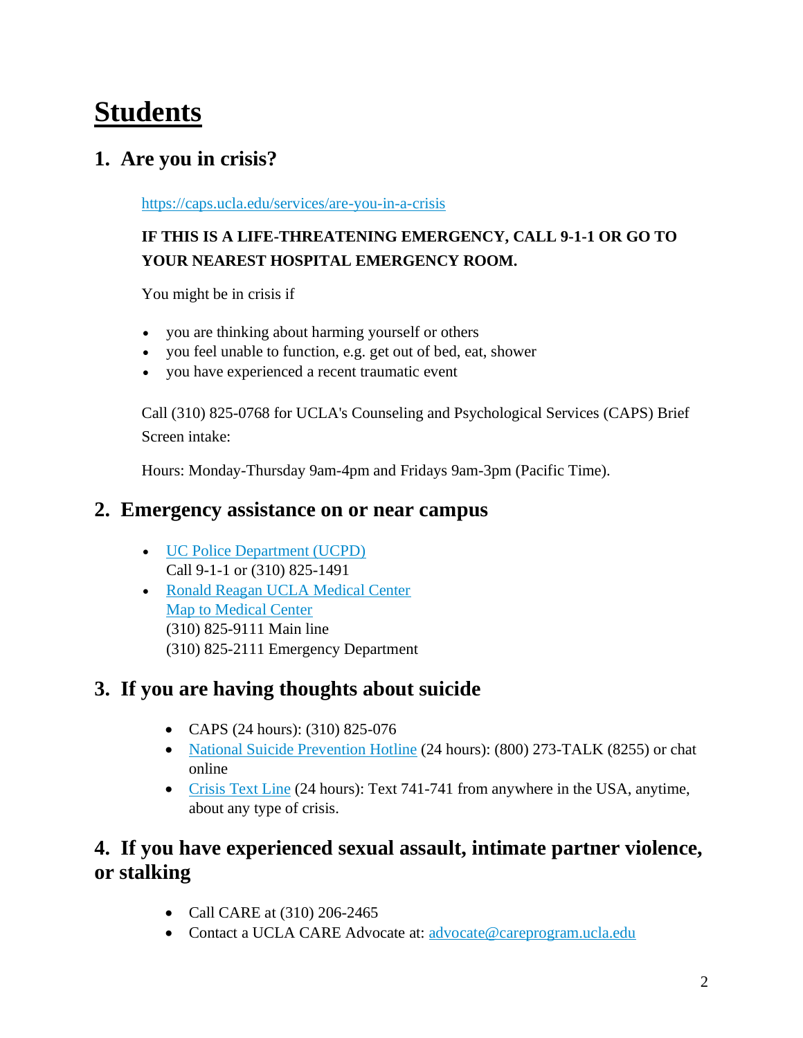# <span id="page-1-0"></span>**Students**

# <span id="page-1-1"></span>**1. Are you in crisis?**

<https://caps.ucla.edu/services/are-you-in-a-crisis>

### **IF THIS IS A LIFE-THREATENING EMERGENCY, CALL 9-1-1 OR GO TO YOUR NEAREST HOSPITAL EMERGENCY ROOM.**

You might be in crisis if

- you are thinking about harming yourself or others
- you feel unable to function, e.g. get out of bed, eat, shower
- you have experienced a recent traumatic event

Call (310) 825-0768 for UCLA's Counseling and Psychological Services (CAPS) Brief Screen intake:

Hours: Monday-Thursday 9am-4pm and Fridays 9am-3pm (Pacific Time).

### <span id="page-1-2"></span>**2. Emergency assistance on or near campus**

- [UC Police Department \(UCPD\)](https://www.ucpd.ucla.edu/) Call 9-1-1 or (310) 825-1491
- [Ronald Reagan UCLA Medical Center](https://www.uclahealth.org/reagan/) [Map to Medical Center](https://www.uclahealth.org/reagan/maps-and-directions) (310) 825-9111 Main line (310) 825-2111 Emergency Department

# <span id="page-1-3"></span>**3. If you are having thoughts about suicide**

- CAPS (24 hours): (310) 825-076
- [National Suicide Prevention Hotline](http://www.suicidepreventionlifeline.org/) (24 hours): (800) 273-TALK (8255) or chat online
- [Crisis Text Line](http://www.crisistextline.org/) (24 hours): Text 741-741 from anywhere in the USA, anytime, about any type of crisis.

# <span id="page-1-4"></span>**4. If you have experienced sexual assault, intimate partner violence, or stalking**

- Call CARE at (310) 206-2465
- Contact a UCLA CARE Advocate at: [advocate@careprogram.ucla.edu](mailto:CAREadvocate@caps.ucla.edu)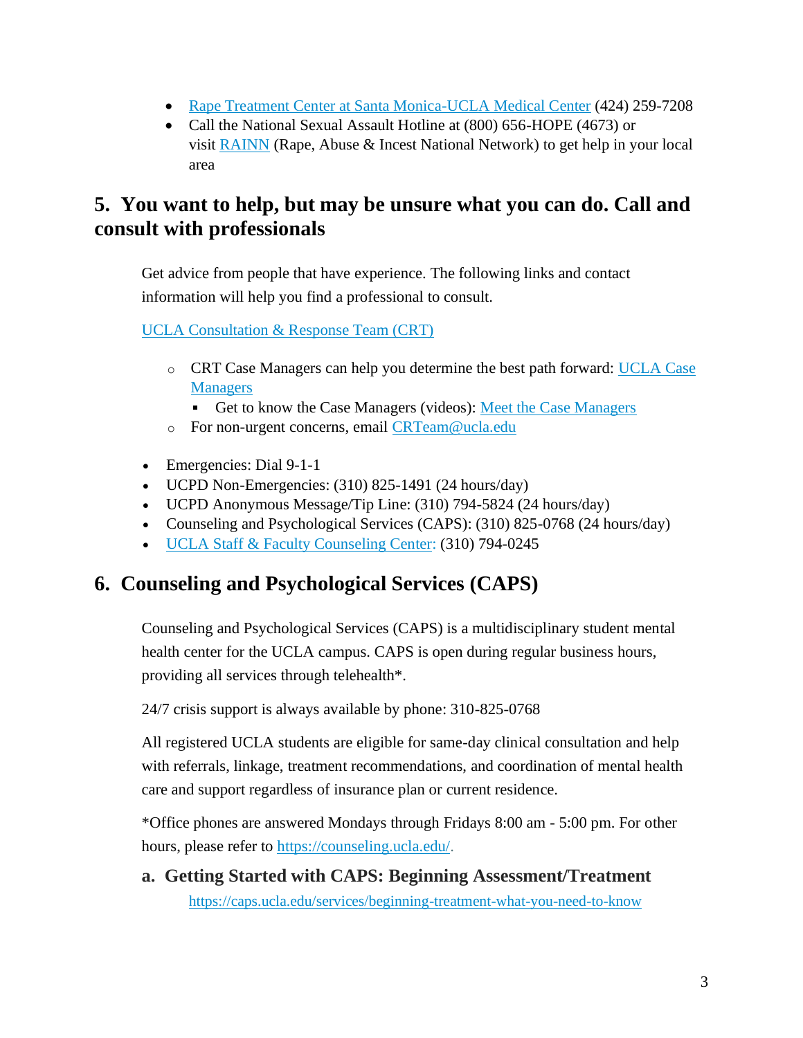- [Rape Treatment Center at Santa Monica-UCLA Medical Center](https://www.uclahealth.org/santa-monica/rape-treatment) (424) 259-7208
- Call the National Sexual Assault Hotline at (800) 656-HOPE (4673) or visit [RAINN](https://rainn.org/) (Rape, Abuse & Incest National Network) to get help in your local area

### <span id="page-2-0"></span>**5. You want to help, but may be unsure what you can do. Call and consult with professionals**

Get advice from people that have experience. The following links and contact information will help you find a professional to consult.

[UCLA Consultation & Response Team \(CRT\)](http://www.studentincrisis.ucla.edu/)

- o CRT Case Managers can help you determine the best path forward: [UCLA Case](https://www.studentincrisis.ucla.edu/Who-can-Help)  **[Managers](https://www.studentincrisis.ucla.edu/Who-can-Help)** 
	- Get to know the Case Managers (videos): [Meet the Case Managers](https://www.youtube.com/watch?v=rP0gsIQAVmI&t=1s)
- o For non-urgent concerns, email [CRTeam@ucla.edu](mailto:CRTeam@ucla.edu)
- Emergencies: Dial 9-1-1
- UCPD Non-Emergencies:  $(310) 825-1491 (24 hours/day)$
- UCPD Anonymous Message/Tip Line: (310) 794-5824 (24 hours/day)
- Counseling and Psychological Services (CAPS): (310) 825-0768 (24 hours/day)
- [UCLA Staff & Faculty Counseling Center:](https://www.chr.ucla.edu/employee-counseling) (310) 794-0245

# <span id="page-2-1"></span>**6. Counseling and Psychological Services (CAPS)**

Counseling and Psychological Services (CAPS) is a multidisciplinary student mental health center for the UCLA campus. CAPS is open during regular business hours, providing all services through telehealth\*.

24/7 crisis support is always available by phone: 310-825-0768

All registered UCLA students are eligible for same-day clinical consultation and help with referrals, linkage, treatment recommendations, and coordination of mental health care and support regardless of insurance plan or current residence.

\*Office phones are answered Mondays through Fridays 8:00 am - 5:00 pm. For other hours, please refer to [https://counseling.ucla.edu/.](https://counseling.ucla.edu/)

<span id="page-2-2"></span>**a. Getting Started with CAPS: Beginning Assessment/Treatment**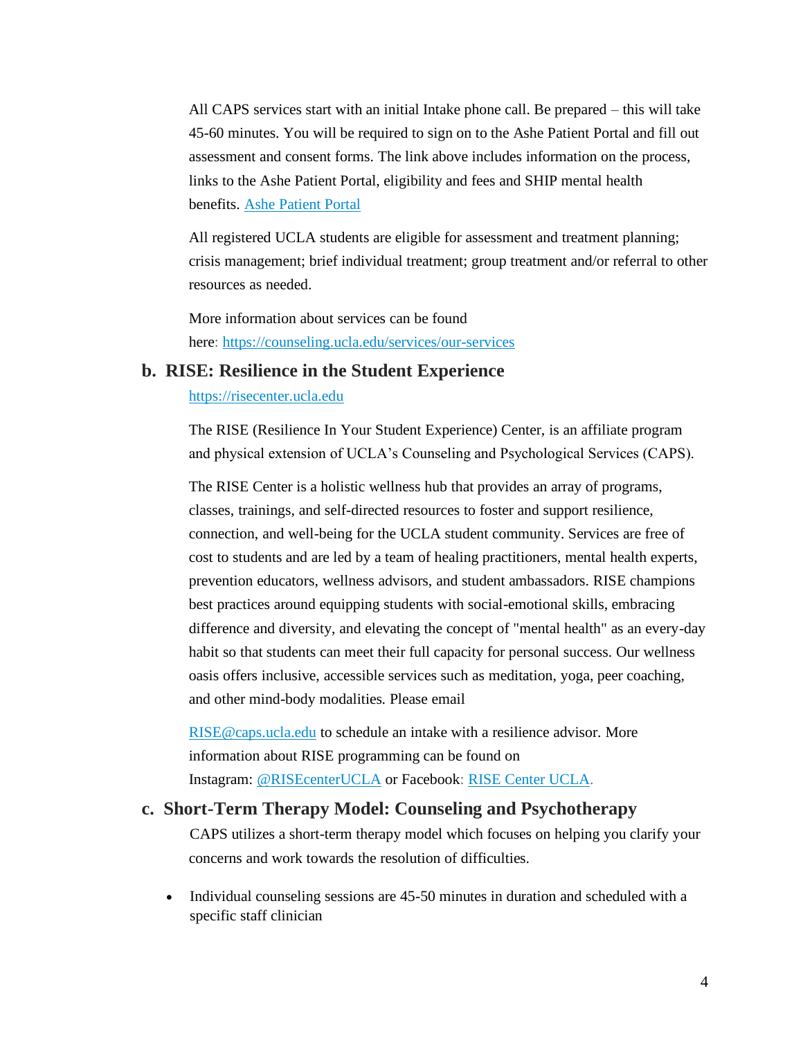All CAPS services start with an initial Intake phone call. Be prepared – this will take 45-60 minutes. You will be required to sign on to the Ashe Patient Portal and fill out assessment and consent forms. The link above includes information on the process, links to the Ashe Patient Portal, eligibility and fees and SHIP mental health benefits. [Ashe Patient Portal](https://pncweb.sdh.ucla.edu/login_dualauthentication.aspx)

All registered UCLA students are eligible for assessment and treatment planning; crisis management; brief individual treatment; group treatment and/or referral to other resources as needed.

More information about services can be found here: <https://counseling.ucla.edu/services/our-services>

#### <span id="page-3-0"></span>**b. RISE: Resilience in the Student Experience**

#### [https://risecenter.ucla.edu](https://risecenter.ucla.edu/)

The RISE (Resilience In Your Student Experience) Center, is an affiliate program and physical extension of UCLA's Counseling and Psychological Services (CAPS).

The RISE Center is a holistic wellness hub that provides an array of programs, classes, trainings, and self-directed resources to foster and support resilience, connection, and well-being for the UCLA student community. Services are free of cost to students and are led by a team of healing practitioners, mental health experts, prevention educators, wellness advisors, and student ambassadors. RISE champions best practices around equipping students with social-emotional skills, embracing difference and diversity, and elevating the concept of "mental health" as an every-day habit so that students can meet their full capacity for personal success. Our wellness oasis offers inclusive, accessible services such as meditation, yoga, peer coaching, and other mind-body modalities. Please email

[RISE@caps.ucla.edu](mailto:RISE@caps.ucla.edu) to schedule an intake with a resilience advisor. More information about RISE programming can be found on Instagram: [@RISEcenterUCLA](https://www.instagram.com/RISEcenterUCLA/) or Facebook: [RISE Center UCLA.](https://www.facebook.com/RISEcenterUCLA/)

#### <span id="page-3-1"></span>**c. Short-Term Therapy Model: Counseling and Psychotherapy**

CAPS utilizes a short-term therapy model which focuses on helping you clarify your concerns and work towards the resolution of difficulties.

• Individual counseling sessions are 45-50 minutes in duration and scheduled with a specific staff clinician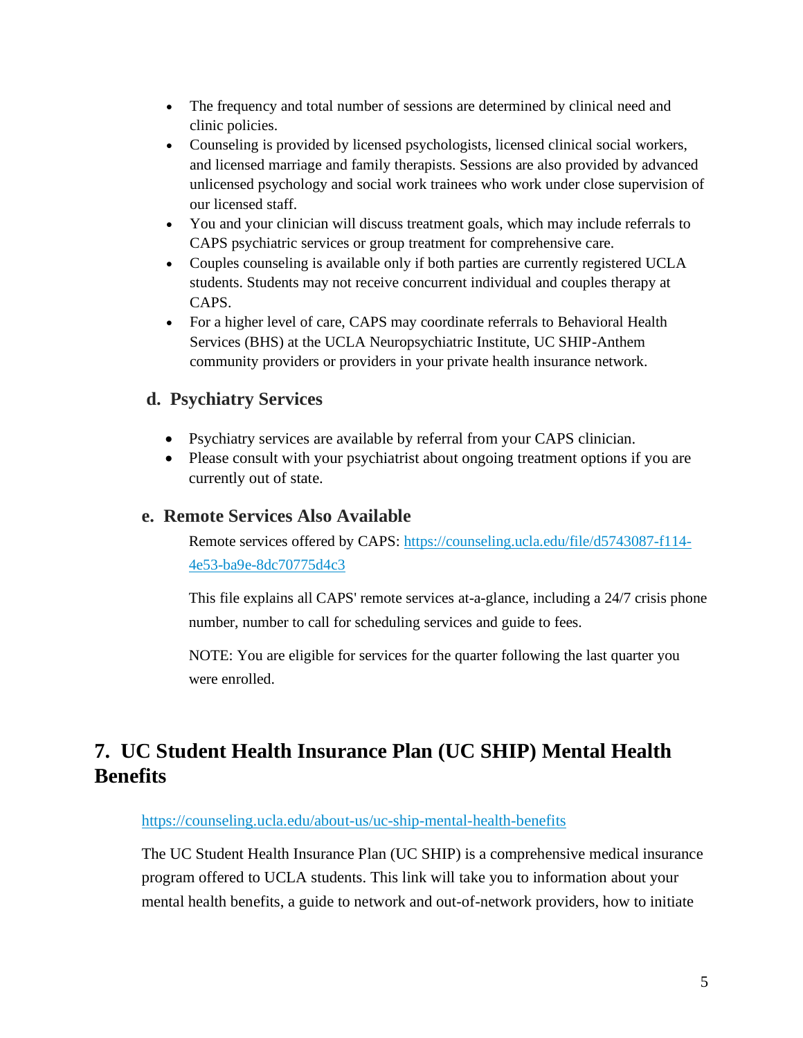- The frequency and total number of sessions are determined by clinical need and clinic policies.
- Counseling is provided by licensed psychologists, licensed clinical social workers, and licensed marriage and family therapists. Sessions are also provided by advanced unlicensed psychology and social work trainees who work under close supervision of our licensed staff.
- You and your clinician will discuss treatment goals, which may include referrals to CAPS psychiatric services or group treatment for comprehensive care.
- Couples counseling is available only if both parties are currently registered UCLA students. Students may not receive concurrent individual and couples therapy at CAPS.
- For a higher level of care, CAPS may coordinate referrals to Behavioral Health Services (BHS) at the UCLA Neuropsychiatric Institute, UC SHIP-Anthem community providers or providers in your private health insurance network.

### <span id="page-4-0"></span>**d. Psychiatry Services**

- Psychiatry services are available by referral from your CAPS clinician.
- Please consult with your psychiatrist about ongoing treatment options if you are currently out of state.

#### <span id="page-4-1"></span>**e. Remote Services Also Available**

Remote services offered by CAPS: [https://counseling.ucla.edu/file/d5743087-f114-](https://counseling.ucla.edu/file/d5743087-f114-4e53-ba9e-8dc70775d4c3) [4e53-ba9e-8dc70775d4c3](https://counseling.ucla.edu/file/d5743087-f114-4e53-ba9e-8dc70775d4c3)

This file explains all CAPS' remote services at-a-glance, including a 24/7 crisis phone number, number to call for scheduling services and guide to fees.

NOTE: You are eligible for services for the quarter following the last quarter you were enrolled.

# <span id="page-4-2"></span>**7. UC Student Health Insurance Plan (UC SHIP) Mental Health Benefits**

#### <https://counseling.ucla.edu/about-us/uc-ship-mental-health-benefits>

The UC Student Health Insurance Plan (UC SHIP) is a comprehensive medical insurance program offered to UCLA students. This link will take you to information about your mental health benefits, a guide to network and out-of-network providers, how to initiate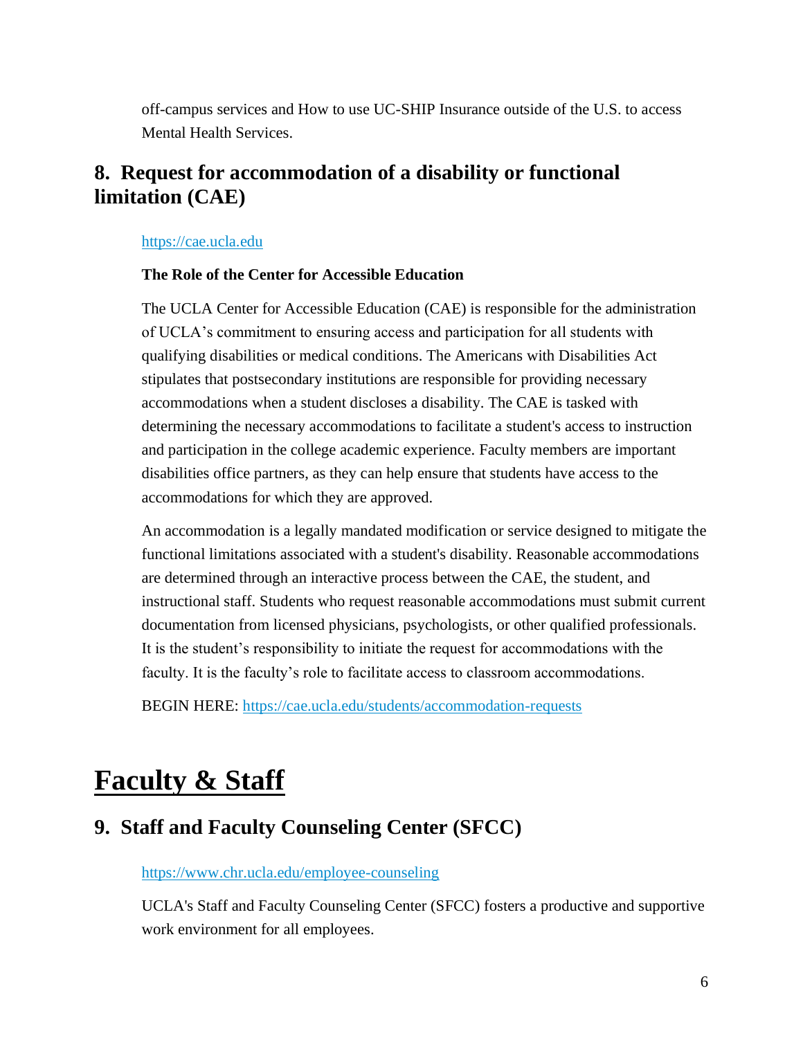off-campus services and How to use UC-SHIP Insurance outside of the U.S. to access Mental Health Services.

### <span id="page-5-0"></span>**8. Request for accommodation of a disability or functional limitation (CAE)**

[https://cae.ucla.edu](https://cae.ucla.edu/)

#### **The Role of the Center for Accessible Education**

The UCLA Center for Accessible Education (CAE) is responsible for the administration of UCLA's commitment to ensuring access and participation for all students with qualifying disabilities or medical conditions. The Americans with Disabilities Act stipulates that postsecondary institutions are responsible for providing necessary accommodations when a student discloses a disability. The CAE is tasked with determining the necessary accommodations to facilitate a student's access to instruction and participation in the college academic experience. Faculty members are important disabilities office partners, as they can help ensure that students have access to the accommodations for which they are approved.

An accommodation is a legally mandated modification or service designed to mitigate the functional limitations associated with a student's disability. Reasonable accommodations are determined through an interactive process between the CAE, the student, and instructional staff. Students who request reasonable accommodations must submit current documentation from licensed physicians, psychologists, or other qualified professionals. It is the student's responsibility to initiate the request for accommodations with the faculty. It is the faculty's role to facilitate access to classroom accommodations.

BEGIN HERE: <https://cae.ucla.edu/students/accommodation-requests>

# <span id="page-5-1"></span>**Faculty & Staff**

# <span id="page-5-2"></span>**9. Staff and Faculty Counseling Center (SFCC)**

<https://www.chr.ucla.edu/employee-counseling>

UCLA's Staff and Faculty Counseling Center (SFCC) fosters a productive and supportive work environment for all employees.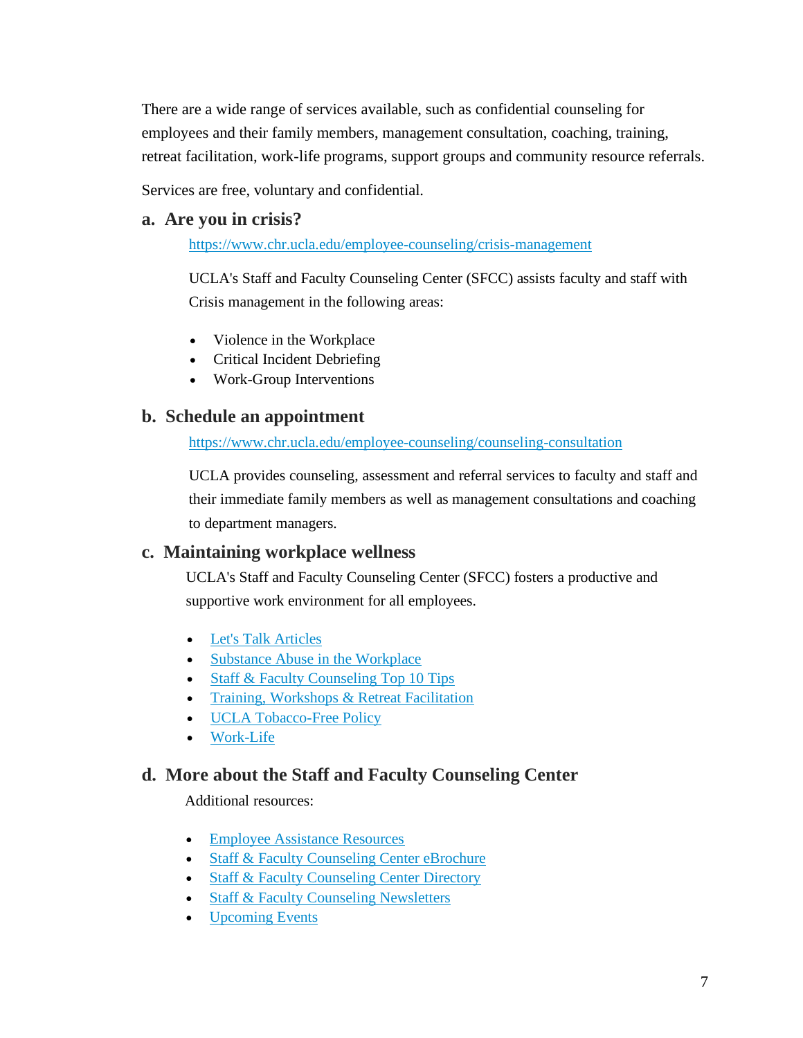There are a wide range of services available, such as confidential counseling for employees and their family members, management consultation, coaching, training, retreat facilitation, work-life programs, support groups and community resource referrals.

Services are free, voluntary and confidential.

#### <span id="page-6-0"></span>**a. Are you in crisis?**

<https://www.chr.ucla.edu/employee-counseling/crisis-management>

UCLA's Staff and Faculty Counseling Center (SFCC) assists faculty and staff with Crisis management in the following areas:

- Violence in the Workplace
- Critical Incident Debriefing
- Work-Group Interventions

#### <span id="page-6-1"></span>**b. Schedule an appointment**

<https://www.chr.ucla.edu/employee-counseling/counseling-consultation>

UCLA provides counseling, assessment and referral services to faculty and staff and their immediate family members as well as management consultations and coaching to department managers.

#### <span id="page-6-2"></span>**c. Maintaining workplace wellness**

UCLA's Staff and Faculty Counseling Center (SFCC) fosters a productive and supportive work environment for all employees.

- [Let's Talk Articles](https://www.chr.ucla.edu/employee-counseling/resources)
- [Substance Abuse in the Workplace](https://www.chr.ucla.edu/employee-counseling/substance-abuse)
- [Staff & Faculty Counseling Top 10 Tips](https://www.chr.ucla.edu/employee-counseling/resources)
- [Training, Workshops & Retreat Facilitation](https://www.chr.ucla.edu/employee-counseling/training-workshops-retreat-facilitation)
- [UCLA Tobacco-Free Policy](http://www.adminpolicies.ucla.edu/pdf/810.pdf)
- [Work-Life](https://www.chr.ucla.edu/employee-counseling/work-life)

#### <span id="page-6-3"></span>**d. More about the Staff and Faculty Counseling Center**

Additional resources:

- [Employee Assistance Resources](https://www.chr.ucla.edu/employee-counseling/resources)
- [Staff & Faculty Counseling Center eBrochure](https://ucla.box.com/staff-faculty-counseling-bro)
- [Staff & Faculty Counseling Center Directory](https://www.chr.ucla.edu/employee-counseling/staff-faculty-counseling-center-directory)
- [Staff & Faculty Counseling Newsletters](https://www.chr.ucla.edu/employee-counseling/resources)
- [Upcoming Events](https://www.chr.ucla.edu/employee-counseling/upcoming-events)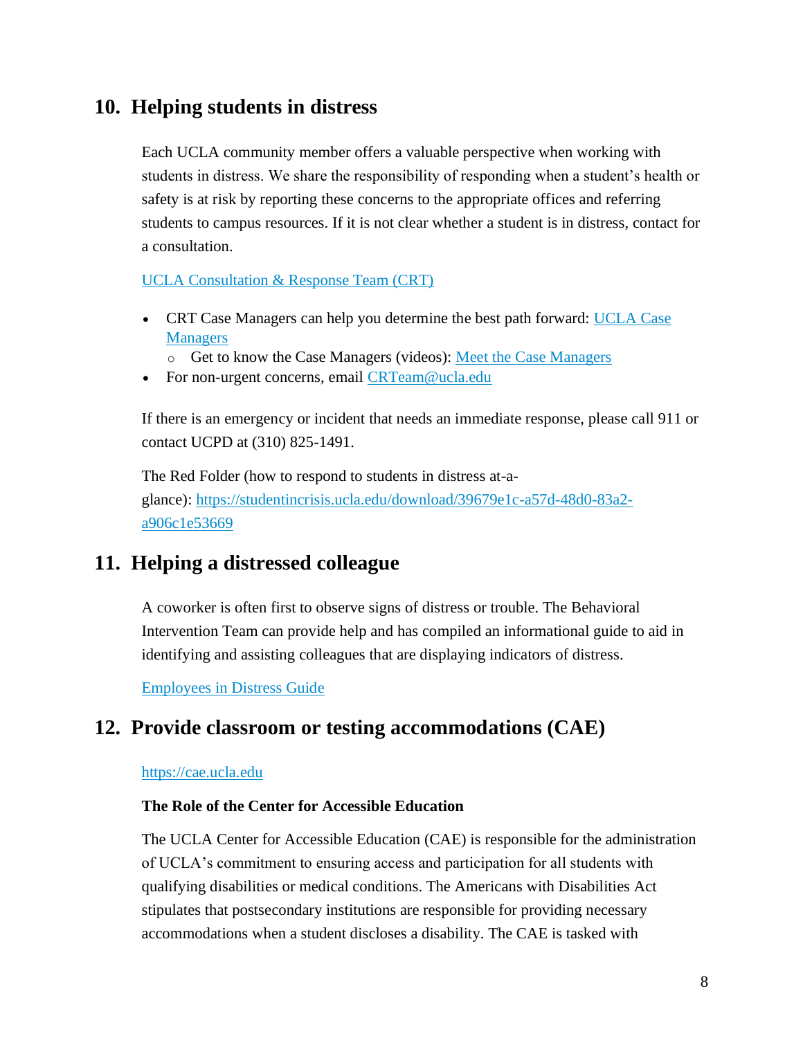### <span id="page-7-0"></span>**10. Helping students in distress**

Each UCLA community member offers a valuable perspective when working with students in distress. We share the responsibility of responding when a student's health or safety is at risk by reporting these concerns to the appropriate offices and referring students to campus resources. If it is not clear whether a student is in distress, contact for a consultation.

[UCLA Consultation & Response Team \(CRT\)](http://www.studentincrisis.ucla.edu/)

- CRT Case Managers can help you determine the best path forward: [UCLA Case](https://www.studentincrisis.ucla.edu/Who-can-Help)  **[Managers](https://www.studentincrisis.ucla.edu/Who-can-Help)** 
	- o Get to know the Case Managers (videos): [Meet the Case Managers](https://www.youtube.com/watch?v=rP0gsIQAVmI&t=1s)
- For non-urgent concerns, email [CRTeam@ucla.edu](mailto:CRTeam@ucla.edu)

If there is an emergency or incident that needs an immediate response, please call 911 or contact UCPD at (310) 825-1491.

The Red Folder (how to respond to students in distress at-aglance): [https://studentincrisis.ucla.edu/download/39679e1c-a57d-48d0-83a2](https://studentincrisis.ucla.edu/download/39679e1c-a57d-48d0-83a2-a906c1e53669) [a906c1e53669](https://studentincrisis.ucla.edu/download/39679e1c-a57d-48d0-83a2-a906c1e53669)

### <span id="page-7-1"></span>**11. Helping a distressed colleague**

A coworker is often first to observe signs of distress or trouble. The Behavioral Intervention Team can provide help and has compiled an informational guide to aid in identifying and assisting colleagues that are displaying indicators of distress.

[Employees in Distress Guide](https://ucla.app.box.com/v/emp-in-distress)

### <span id="page-7-2"></span>**12. Provide classroom or testing accommodations (CAE)**

#### [https://cae.ucla.edu](https://cae.ucla.edu/)

#### **The Role of the Center for Accessible Education**

The UCLA Center for Accessible Education (CAE) is responsible for the administration of UCLA's commitment to ensuring access and participation for all students with qualifying disabilities or medical conditions. The Americans with Disabilities Act stipulates that postsecondary institutions are responsible for providing necessary accommodations when a student discloses a disability. The CAE is tasked with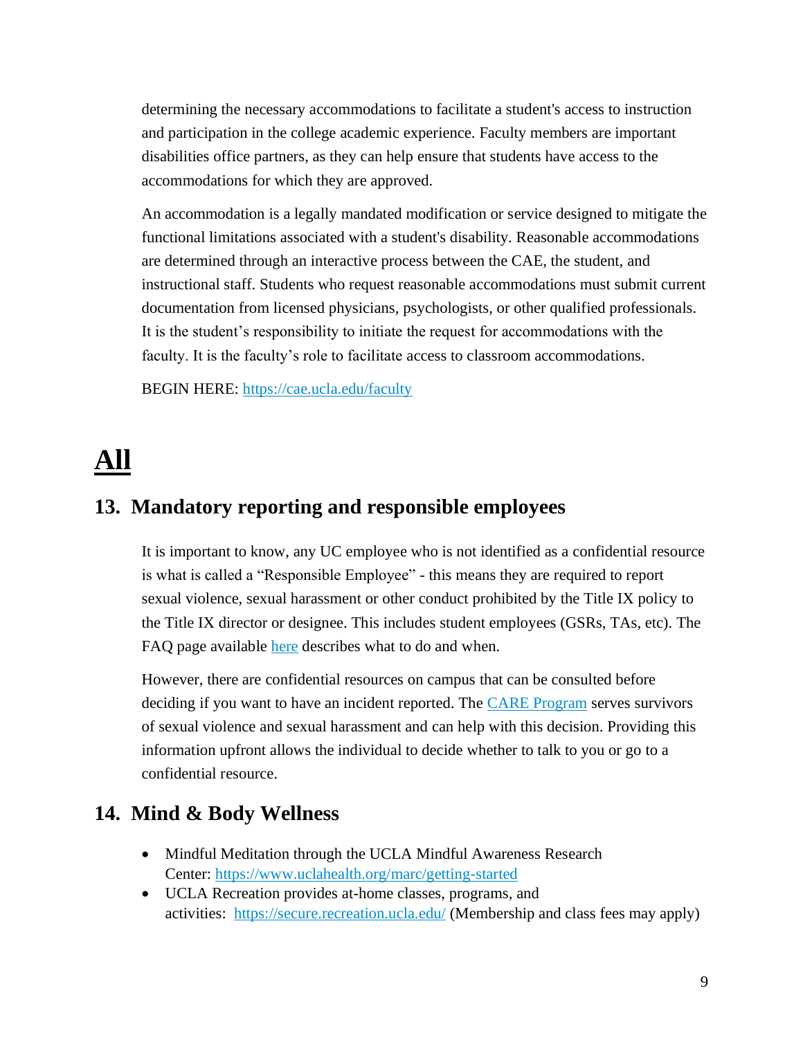determining the necessary accommodations to facilitate a student's access to instruction and participation in the college academic experience. Faculty members are important disabilities office partners, as they can help ensure that students have access to the accommodations for which they are approved.

An accommodation is a legally mandated modification or service designed to mitigate the functional limitations associated with a student's disability. Reasonable accommodations are determined through an interactive process between the CAE, the student, and instructional staff. Students who request reasonable accommodations must submit current documentation from licensed physicians, psychologists, or other qualified professionals. It is the student's responsibility to initiate the request for accommodations with the faculty. It is the faculty's role to facilitate access to classroom accommodations.

BEGIN HERE: <https://cae.ucla.edu/faculty>

# <span id="page-8-0"></span>**All**

### <span id="page-8-1"></span>**13. Mandatory reporting and responsible employees**

It is important to know, any UC employee who is not identified as a confidential resource is what is called a "Responsible Employee" - this means they are required to report sexual violence, sexual harassment or other conduct prohibited by the Title IX policy to the Title IX director or designee. This includes student employees (GSRs, TAs, etc). The FAQ page available [here](https://sexualharassment.ucla.edu/reporting/responsible-employees-mandated-reporter) describes what to do and when.

However, there are confidential resources on campus that can be consulted before deciding if you want to have an incident reported. The **[CARE Program](https://careprogram.ucla.edu/)** serves survivors of sexual violence and sexual harassment and can help with this decision. Providing this information upfront allows the individual to decide whether to talk to you or go to a confidential resource.

### <span id="page-8-2"></span>**14. Mind & Body Wellness**

- Mindful Meditation through the UCLA Mindful Awareness Research Center: <https://www.uclahealth.org/marc/getting-started>
- UCLA Recreation provides at-home classes, programs, and activities: <https://secure.recreation.ucla.edu/> (Membership and class fees may apply)